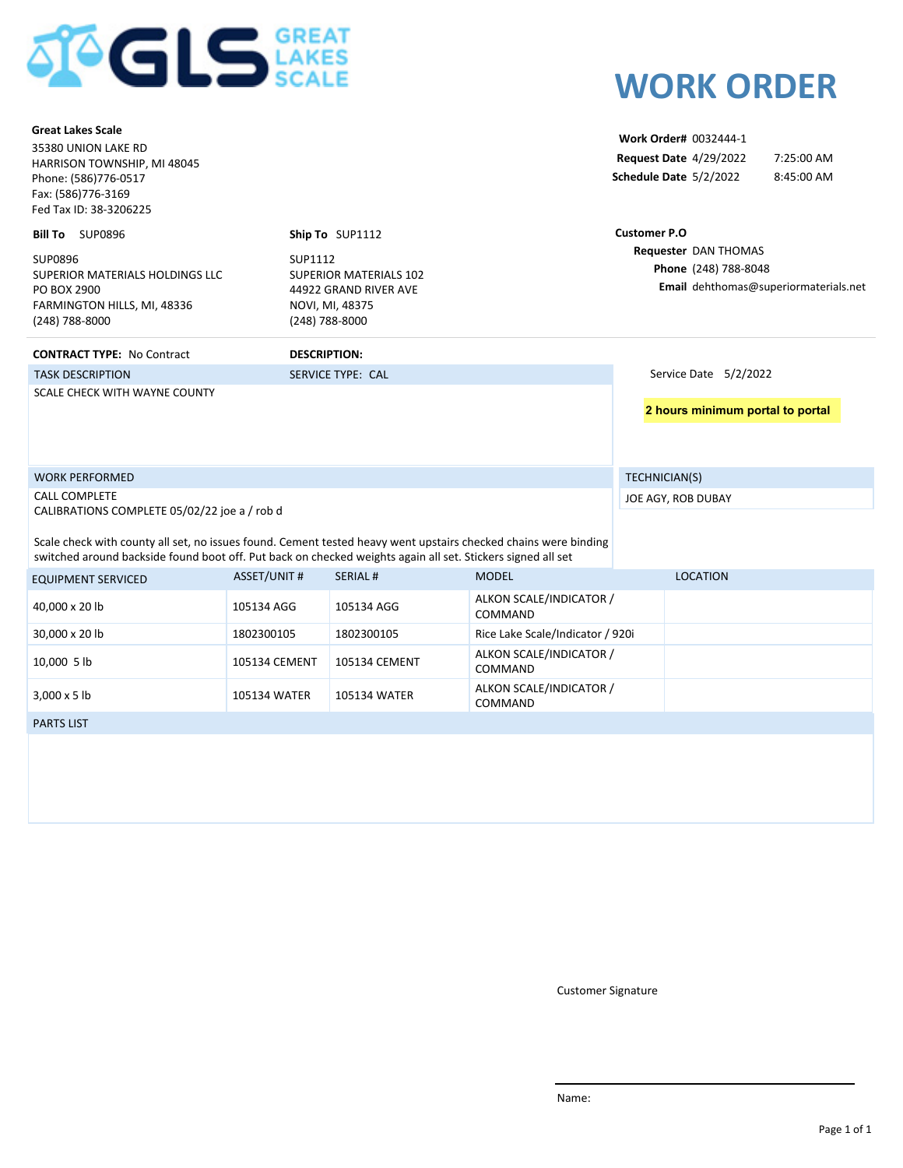

| <b>Great Lakes Scale</b><br>35380 UNION LAKE RD<br>HARRISON TOWNSHIP, MI 48045<br>Phone: (586)776-0517<br>Fax: (586)776-3169<br>Fed Tax ID: 38-3206225                                                                         |                     |                                                                                             |                                    | Work Order# 0032444-1<br><b>Request Date 4/29/2022</b><br>Schedule Date 5/2/2022 |                                              | 7:25:00 AM<br>8:45:00 AM              |
|--------------------------------------------------------------------------------------------------------------------------------------------------------------------------------------------------------------------------------|---------------------|---------------------------------------------------------------------------------------------|------------------------------------|----------------------------------------------------------------------------------|----------------------------------------------|---------------------------------------|
| <b>Bill To</b> SUP0896                                                                                                                                                                                                         |                     | Ship To SUP1112                                                                             |                                    | <b>Customer P.O</b>                                                              |                                              |                                       |
| SUP0896<br>SUPERIOR MATERIALS HOLDINGS LLC<br><b>PO BOX 2900</b><br>FARMINGTON HILLS, MI, 48336<br>(248) 788-8000                                                                                                              | SUP1112             | <b>SUPERIOR MATERIALS 102</b><br>44922 GRAND RIVER AVE<br>NOVI, MI, 48375<br>(248) 788-8000 |                                    |                                                                                  | Requester DAN THOMAS<br>Phone (248) 788-8048 | Email dehthomas@superiormaterials.net |
| <b>CONTRACT TYPE: No Contract</b>                                                                                                                                                                                              | <b>DESCRIPTION:</b> |                                                                                             |                                    |                                                                                  |                                              |                                       |
| <b>TASK DESCRIPTION</b>                                                                                                                                                                                                        |                     | SERVICE TYPE: CAL                                                                           |                                    |                                                                                  | Service Date 5/2/2022                        |                                       |
| SCALE CHECK WITH WAYNE COUNTY                                                                                                                                                                                                  |                     |                                                                                             |                                    |                                                                                  |                                              | 2 hours minimum portal to portal      |
| <b>WORK PERFORMED</b>                                                                                                                                                                                                          |                     |                                                                                             |                                    | TECHNICIAN(S)                                                                    |                                              |                                       |
| <b>CALL COMPLETE</b><br>CALIBRATIONS COMPLETE 05/02/22 joe a / rob d                                                                                                                                                           |                     |                                                                                             |                                    |                                                                                  | JOE AGY, ROB DUBAY                           |                                       |
| Scale check with county all set, no issues found. Cement tested heavy went upstairs checked chains were binding<br>switched around backside found boot off. Put back on checked weights again all set. Stickers signed all set |                     |                                                                                             |                                    |                                                                                  |                                              |                                       |
| <b>EQUIPMENT SERVICED</b>                                                                                                                                                                                                      | <b>ASSET/UNIT #</b> | SERIAL #                                                                                    | <b>MODEL</b>                       |                                                                                  | <b>LOCATION</b>                              |                                       |
| 40,000 x 20 lb                                                                                                                                                                                                                 | 105134 AGG          | 105134 AGG                                                                                  | ALKON SCALE/INDICATOR /<br>COMMAND |                                                                                  |                                              |                                       |
| 30,000 x 20 lb                                                                                                                                                                                                                 | 1802300105          | 1802300105                                                                                  | Rice Lake Scale/Indicator / 920i   |                                                                                  |                                              |                                       |
| 10,000 5 lb                                                                                                                                                                                                                    | 105134 CEMENT       | 105134 CEMENT                                                                               | ALKON SCALE/INDICATOR /<br>COMMAND |                                                                                  |                                              |                                       |
| $3,000 \times 5$ lb                                                                                                                                                                                                            | 105134 WATER        | 105134 WATER                                                                                | ALKON SCALE/INDICATOR /<br>COMMAND |                                                                                  |                                              |                                       |
| <b>PARTS LIST</b>                                                                                                                                                                                                              |                     |                                                                                             |                                    |                                                                                  |                                              |                                       |

Customer Signature

**WORK ORDER**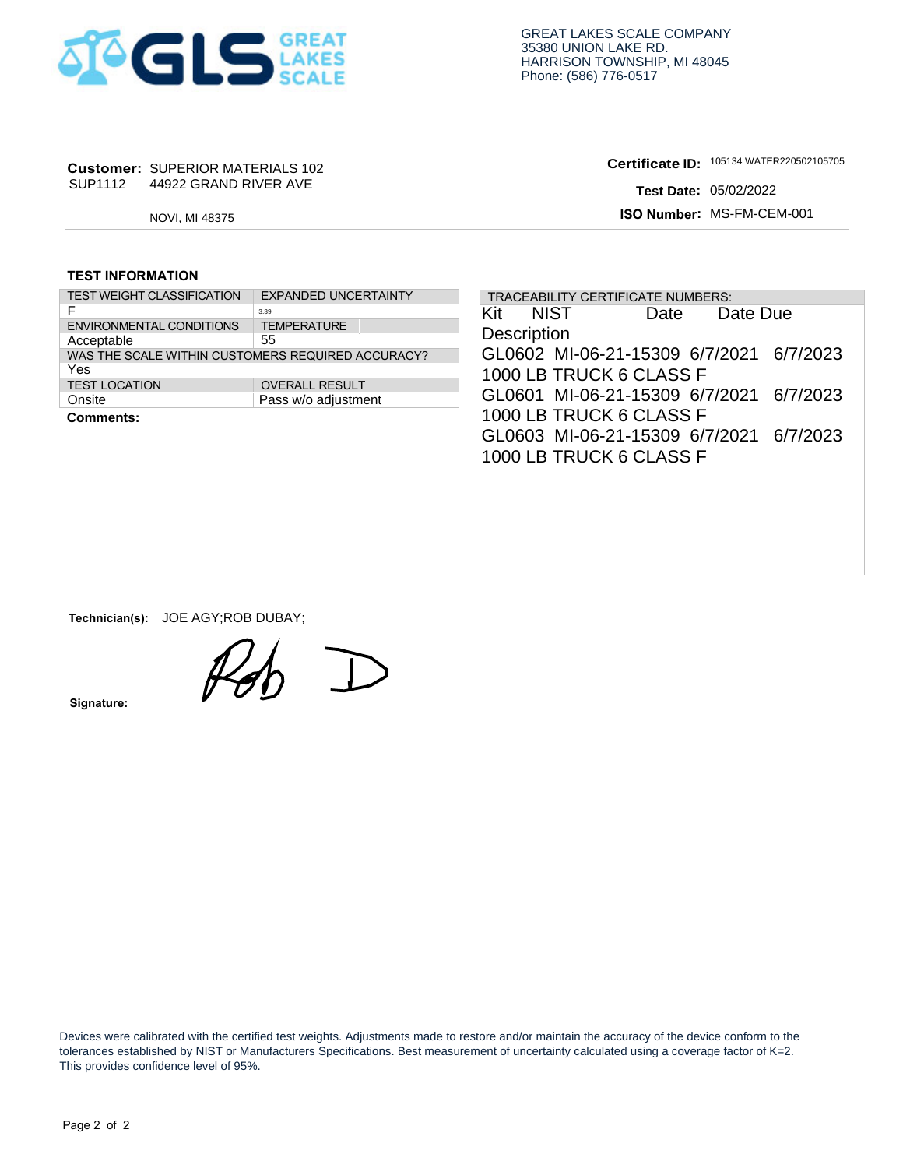

# **Customer: SUPERIOR MATERIALS 102<br>SUP1112 44922 GRAND RIVER AVE**

**Certificate ID:** 105134 WATER220502105705

**Test Date: ISO Number:**  MS-FM-CEM-001 NOVI, MI 48375 05/02/2022

#### **TEST INFORMATION**

| SUP1112                 | <b>Customer: SUPERIOR MATERIALS 102</b><br>44922 GRAND RIVER AVE |                             |  |
|-------------------------|------------------------------------------------------------------|-----------------------------|--|
|                         | <b>NOVI, MI 48375</b>                                            |                             |  |
|                         |                                                                  |                             |  |
| <b>TEST INFORMATION</b> |                                                                  |                             |  |
|                         | <b>TEST WEIGHT CLASSIFICATION</b>                                | <b>EXPANDED UNCERTAINTY</b> |  |
| F                       |                                                                  | 3.39                        |  |
|                         | ENVIRONMENTAL CONDITIONS                                         | <b>TEMPERATURE</b>          |  |
| Acceptable              |                                                                  | 55                          |  |
|                         | WAS THE SCALE WITHIN CUSTOMERS REQUIRED ACCURACY?                |                             |  |
| Yes                     |                                                                  |                             |  |
| <b>TEST LOCATION</b>    |                                                                  | <b>OVERALL RESULT</b>       |  |
| Onsite                  |                                                                  | Pass w/o adjustment         |  |
| <b>Comments:</b>        |                                                                  |                             |  |

|                    | <b>TRACEABILITY CERTIFICATE NUMBERS:</b> |               |  |
|--------------------|------------------------------------------|---------------|--|
| Kit NIST           |                                          | Date Date Due |  |
| <b>Description</b> |                                          |               |  |
|                    | GL0602 MI-06-21-15309 6/7/2021 6/7/2023  |               |  |
|                    | 1000 LB TRUCK 6 CLASS F                  |               |  |
|                    | GL0601 MI-06-21-15309 6/7/2021 6/7/2023  |               |  |
|                    | 1000 LB TRUCK 6 CLASS F                  |               |  |
|                    | GL0603 MI-06-21-15309 6/7/2021 6/7/2023  |               |  |
|                    | 1000 LB TRUCK 6 CLASS F                  |               |  |
|                    |                                          |               |  |

**Technician(s):** JOE AGY;ROB DUBAY;

**Signature:** 

 Devices were calibrated with the certified test weights. Adjustments made to restore and/or maintain the accuracy of the device conform to the tolerances established by NIST or Manufacturers Specifications. Best measurement of uncertainty calculated using a coverage factor of K=2. This provides confidence level of 95%.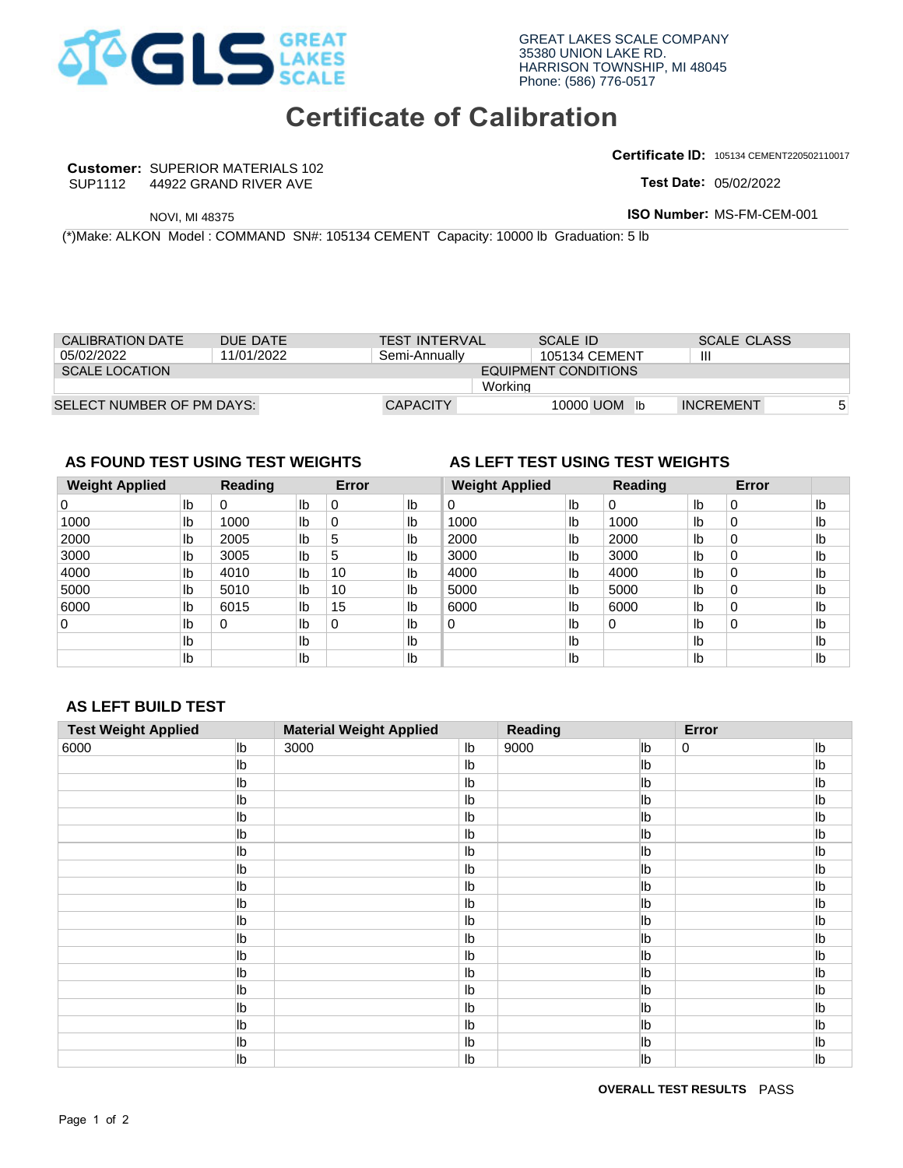

## **Certificate of Calibration**

**Certificate ID:** 105134 CEMENT220502110017

**Customer: SUPERIOR MATERIALS 102<br>SUP1112 44922 GRAND RIVER AVE** 

| <b>CALIBRATION DATE</b>   | DUE DATE   | <b>TEST INTERVAL</b> | SCALE ID             | <b>SCALE CLASS</b> |                |
|---------------------------|------------|----------------------|----------------------|--------------------|----------------|
| 05/02/2022                | 11/01/2022 | Semi-Annually        | 105134 CEMENT        | Ш                  |                |
| <b>SCALE LOCATION</b>     |            |                      | EQUIPMENT CONDITIONS |                    |                |
|                           |            | Working              |                      |                    |                |
| SELECT NUMBER OF PM DAYS: |            | <b>CAPACITY</b>      | 10000 UOM<br>lb      | <b>INCREMENT</b>   | 5 <sup>1</sup> |

#### **AS FOUND TEST USING TEST WEIGHTS AS LEFT TEST USING TEST WEIGHTS**

| <b>Customer: SUPERIOR MATERIALS 102</b><br><b>SUP1112</b>                             |                       | 44922 GRAND RIVER AVE |    |       |                                |                       |         |                             |                                 |                | Test Date: 05/02/2022     |               |
|---------------------------------------------------------------------------------------|-----------------------|-----------------------|----|-------|--------------------------------|-----------------------|---------|-----------------------------|---------------------------------|----------------|---------------------------|---------------|
|                                                                                       | <b>NOVI, MI 48375</b> |                       |    |       |                                |                       |         |                             |                                 |                | ISO Number: MS-FM-CEM-001 |               |
| (*)Make: ALKON Model : COMMAND SN#: 105134 CEMENT Capacity: 10000 lb Graduation: 5 lb |                       |                       |    |       |                                |                       |         |                             |                                 |                |                           |               |
|                                                                                       |                       |                       |    |       |                                |                       |         |                             |                                 |                |                           |               |
|                                                                                       |                       |                       |    |       |                                |                       |         |                             |                                 |                |                           |               |
|                                                                                       |                       |                       |    |       |                                |                       |         |                             |                                 |                |                           |               |
|                                                                                       |                       |                       |    |       |                                |                       |         |                             |                                 |                |                           |               |
| <b>CALIBRATION DATE</b>                                                               |                       | <b>DUE DATE</b>       |    |       | <b>TEST INTERVAL</b>           |                       |         | <b>SCALE ID</b>             |                                 |                | <b>SCALE CLASS</b>        |               |
| 05/02/2022                                                                            |                       | 11/01/2022            |    |       | Semi-Annually                  |                       |         | 105134 CEMENT               |                                 | Ш              |                           |               |
| <b>SCALE LOCATION</b>                                                                 |                       |                       |    |       |                                |                       | Working | <b>EQUIPMENT CONDITIONS</b> |                                 |                |                           |               |
|                                                                                       |                       |                       |    |       |                                |                       |         |                             |                                 |                |                           |               |
| SELECT NUMBER OF PM DAYS:                                                             |                       |                       |    |       | <b>CAPACITY</b>                |                       |         |                             | 10000 UOM lb                    |                | <b>INCREMENT</b>          | 5             |
|                                                                                       |                       |                       |    |       |                                |                       |         |                             |                                 |                |                           |               |
|                                                                                       |                       |                       |    |       |                                |                       |         |                             |                                 |                |                           |               |
| AS FOUND TEST USING TEST WEIGHTS                                                      |                       |                       |    |       |                                |                       |         |                             | AS LEFT TEST USING TEST WEIGHTS |                |                           |               |
| <b>Weight Applied</b>                                                                 |                       | <b>Reading</b>        |    | Error |                                | <b>Weight Applied</b> |         |                             | <b>Reading</b>                  |                | Error                     |               |
| $\mathbf 0$                                                                           | lb                    | $\Omega$              | Ib | 0     | $\mathsf{lb}$                  | 0                     |         | $\mathsf{lb}$               | 0                               | $\mathsf{lb}$  | 0                         | Ib            |
| 1000                                                                                  | Ib                    | 1000                  | Ib | 0     | Ib                             | 1000                  |         | I <sub>b</sub>              | 1000                            | Ib             | 0                         | $\mathsf{lb}$ |
| 2000                                                                                  | lb                    | 2005                  | Ib | 5     | lb                             | 2000                  |         | Ib                          | 2000                            | lb             | 0                         | Ib            |
| 3000                                                                                  | lb                    | 3005                  | Ib | 5     | lb                             | 3000                  |         | Ib                          | 3000                            | lb             | 0                         | Ib            |
| 4000                                                                                  | lb                    | 4010                  | Ib | 10    | Ib                             | 4000                  |         | Ib                          | 4000                            | lb             | 0                         | Ib            |
| 5000                                                                                  | lb                    | 5010                  | Ib | 10    | Ib                             | 5000                  |         | Ib                          | 5000                            | Ib             | 0                         | Ib            |
| 6000                                                                                  | lb                    | 6015                  | Ib | 15    | lb                             | 6000                  |         | Ib                          | 6000                            | Ib             | 0                         | Ib            |
| 0                                                                                     | lb                    | $\Omega$              | Ib | 0     | Ib                             | 0                     |         | Ib                          | 0                               | Ib             | 0                         | Ib            |
|                                                                                       | lb                    |                       | Ib |       | Ib                             |                       |         | Ib                          |                                 | I <sub>b</sub> |                           | $\mathsf{lb}$ |
|                                                                                       | lb                    |                       | Ib |       | lb                             |                       |         | Ib                          |                                 | Ib             |                           | Ib            |
|                                                                                       |                       |                       |    |       |                                |                       |         |                             |                                 |                |                           |               |
|                                                                                       |                       |                       |    |       |                                |                       |         |                             |                                 |                |                           |               |
| <b>AS LEFT BUILD TEST</b>                                                             |                       |                       |    |       |                                |                       |         |                             |                                 |                |                           |               |
|                                                                                       |                       |                       |    |       |                                |                       |         |                             |                                 |                |                           |               |
| <b>Test Weight Applied</b>                                                            |                       |                       |    |       | <b>Material Weight Applied</b> |                       |         | <b>Reading</b>              |                                 | Error          |                           |               |

|                                    | 44922 GRAND RIVER AVE                                                                 |                |                                  |           |                                |                      |                                        |                 |                                 |                | Test Date: 05/02/2022     |                                |
|------------------------------------|---------------------------------------------------------------------------------------|----------------|----------------------------------|-----------|--------------------------------|----------------------|----------------------------------------|-----------------|---------------------------------|----------------|---------------------------|--------------------------------|
|                                    | NOVI, MI 48375                                                                        |                |                                  |           |                                |                      |                                        |                 |                                 |                | ISO Number: MS-FM-CEM-001 |                                |
|                                    | (*)Make: ALKON Model : COMMAND SN#: 105134 CEMENT Capacity: 10000 lb Graduation: 5 lb |                |                                  |           |                                |                      |                                        |                 |                                 |                |                           |                                |
|                                    |                                                                                       |                |                                  |           |                                |                      |                                        |                 |                                 |                |                           |                                |
|                                    |                                                                                       |                |                                  |           |                                |                      |                                        |                 |                                 |                |                           |                                |
|                                    |                                                                                       |                |                                  |           |                                |                      |                                        |                 |                                 |                |                           |                                |
| <b>CALIBRATION DATE</b>            |                                                                                       | DUE DATE       |                                  |           | <b>TEST INTERVAL</b>           |                      |                                        | <b>SCALE ID</b> |                                 |                | <b>SCALE CLASS</b>        |                                |
| 05/02/2022                         |                                                                                       | 11/01/2022     |                                  |           | Semi-Annually                  |                      |                                        |                 | 105134 CEMENT                   | $\mathbf{III}$ |                           |                                |
| <b>SCALE LOCATION</b>              |                                                                                       |                |                                  |           |                                |                      | <b>EQUIPMENT CONDITIONS</b><br>Working |                 |                                 |                |                           |                                |
|                                    | SELECT NUMBER OF PM DAYS:                                                             |                |                                  |           | <b>CAPACITY</b>                |                      |                                        |                 | 10000 UOM lb                    |                | <b>INCREMENT</b>          |                                |
|                                    |                                                                                       |                |                                  |           |                                |                      |                                        |                 |                                 |                |                           |                                |
|                                    |                                                                                       |                |                                  |           |                                |                      |                                        |                 |                                 |                |                           |                                |
|                                    | AS FOUND TEST USING TEST WEIGHTS                                                      |                |                                  |           |                                |                      |                                        |                 | AS LEFT TEST USING TEST WEIGHTS |                |                           |                                |
| <b>Weight Applied</b>              |                                                                                       | <b>Reading</b> |                                  | Error     |                                |                      | <b>Weight Applied</b>                  |                 | <b>Reading</b>                  |                | Error                     |                                |
| 0                                  | Ib                                                                                    | $\pmb{0}$      | I <sub>b</sub>                   | $\pmb{0}$ | I <sub>b</sub>                 | $\mathbf 0$          |                                        | Ib              | 0                               | lb             | 0                         | I <sub>b</sub>                 |
| 1000                               | lb                                                                                    | 1000           | Ib                               | $\pmb{0}$ | Ib                             | 1000                 |                                        | Ib              | 1000<br>2000                    | lb             | 0                         | $\mathsf{lb}$<br>$\mathsf{lb}$ |
| 2000<br>3000                       | lb                                                                                    | 2005<br>3005   | I <sub>b</sub><br>I <sub>b</sub> | 5<br>5    | lb<br>Ib                       | 2000<br>3000         |                                        | Ib              | 3000                            | lb             | $\mathsf 0$               | $\mathsf{lb}$                  |
| 4000                               | lb<br>lb                                                                              | 4010           | I <sub>b</sub>                   | 10        | Ib                             | 4000                 |                                        | lb<br>lb        | 4000                            | lb<br>lb       | 0<br>0                    | I <sub>b</sub>                 |
| 5000                               | lb                                                                                    | 5010           | lb                               | 10        | Ib                             | 5000                 |                                        | lb              | 5000                            | lb             | 0                         | I <sub>b</sub>                 |
|                                    |                                                                                       |                | lb                               | 15        | lb                             | 6000                 |                                        | lb              | 6000                            | lb             | 0                         | I <sub>b</sub>                 |
|                                    |                                                                                       |                |                                  |           |                                |                      |                                        |                 |                                 |                |                           |                                |
|                                    | lb                                                                                    | 6015           |                                  |           |                                |                      |                                        |                 |                                 |                |                           |                                |
|                                    | lb                                                                                    | 0              | lb                               | $\pmb{0}$ | Ib                             | $\mathbf 0$          |                                        | lb              | 0                               | lb             | 0                         | Ib                             |
|                                    | lb                                                                                    |                | Ib                               |           | Ib                             |                      |                                        | Ib              |                                 | I <sub>b</sub> |                           | Ib                             |
| 6000<br>0                          | Ib                                                                                    |                | Ib                               |           | Ib                             |                      |                                        | Ib              |                                 | lb             |                           | Ib                             |
|                                    |                                                                                       |                |                                  |           |                                |                      |                                        |                 |                                 |                |                           |                                |
|                                    | <b>AS LEFT BUILD TEST</b>                                                             |                |                                  |           |                                |                      |                                        |                 |                                 |                |                           |                                |
|                                    |                                                                                       |                |                                  |           | <b>Material Weight Applied</b> |                      | <b>Reading</b>                         |                 |                                 | Error          |                           |                                |
|                                    |                                                                                       | lb             | 3000                             |           |                                | Ib                   | 9000                                   |                 | lb                              | 0              |                           | lb                             |
|                                    |                                                                                       | lb             |                                  |           |                                | I <sub>b</sub>       |                                        |                 | lb                              |                |                           | lb                             |
|                                    |                                                                                       | lb             |                                  |           |                                | Ib                   |                                        |                 | lb                              |                |                           | lb                             |
|                                    |                                                                                       | Ib             |                                  |           |                                | Ib                   |                                        |                 | lb                              |                |                           | lb                             |
|                                    |                                                                                       | lb             |                                  |           |                                | Ib                   |                                        |                 | lb                              |                |                           | lb                             |
|                                    |                                                                                       | lb             |                                  |           |                                | Ib                   |                                        |                 | lb                              |                |                           | lb                             |
|                                    |                                                                                       | lb             |                                  |           |                                | Ib                   |                                        |                 | lb                              |                |                           | lb                             |
|                                    |                                                                                       | lb             |                                  |           |                                | I <sub>b</sub>       |                                        |                 | lb                              |                |                           | lb                             |
|                                    |                                                                                       | lb             |                                  |           |                                | I <sub>b</sub>       |                                        |                 | lb                              |                |                           | Ib                             |
|                                    |                                                                                       | lb             |                                  |           |                                | I <sub>b</sub>       |                                        |                 | lb                              |                |                           | lb                             |
|                                    |                                                                                       | lb             |                                  |           |                                | I <sub>b</sub>       |                                        |                 | lb                              |                |                           | Ib                             |
|                                    |                                                                                       | lb             |                                  |           |                                | lb                   |                                        |                 | lb                              |                |                           | Ib                             |
|                                    |                                                                                       | lb             |                                  |           |                                | I <sub>b</sub>       |                                        |                 | lb                              |                |                           | Ib                             |
|                                    |                                                                                       | lb             |                                  |           |                                | I <sub>b</sub>       |                                        |                 | lb                              |                |                           | Ib                             |
|                                    |                                                                                       | lb<br>lb       |                                  |           |                                | I <sub>b</sub>       |                                        |                 | lb<br>lb                        |                |                           | Ib                             |
|                                    |                                                                                       | lb             |                                  |           |                                | I <sub>b</sub>       |                                        |                 | lb                              |                |                           | lb                             |
| <b>Test Weight Applied</b><br>6000 |                                                                                       | lb             |                                  |           |                                | I <sub>b</sub><br>Ib |                                        |                 | lb                              |                |                           | Ib<br>lb                       |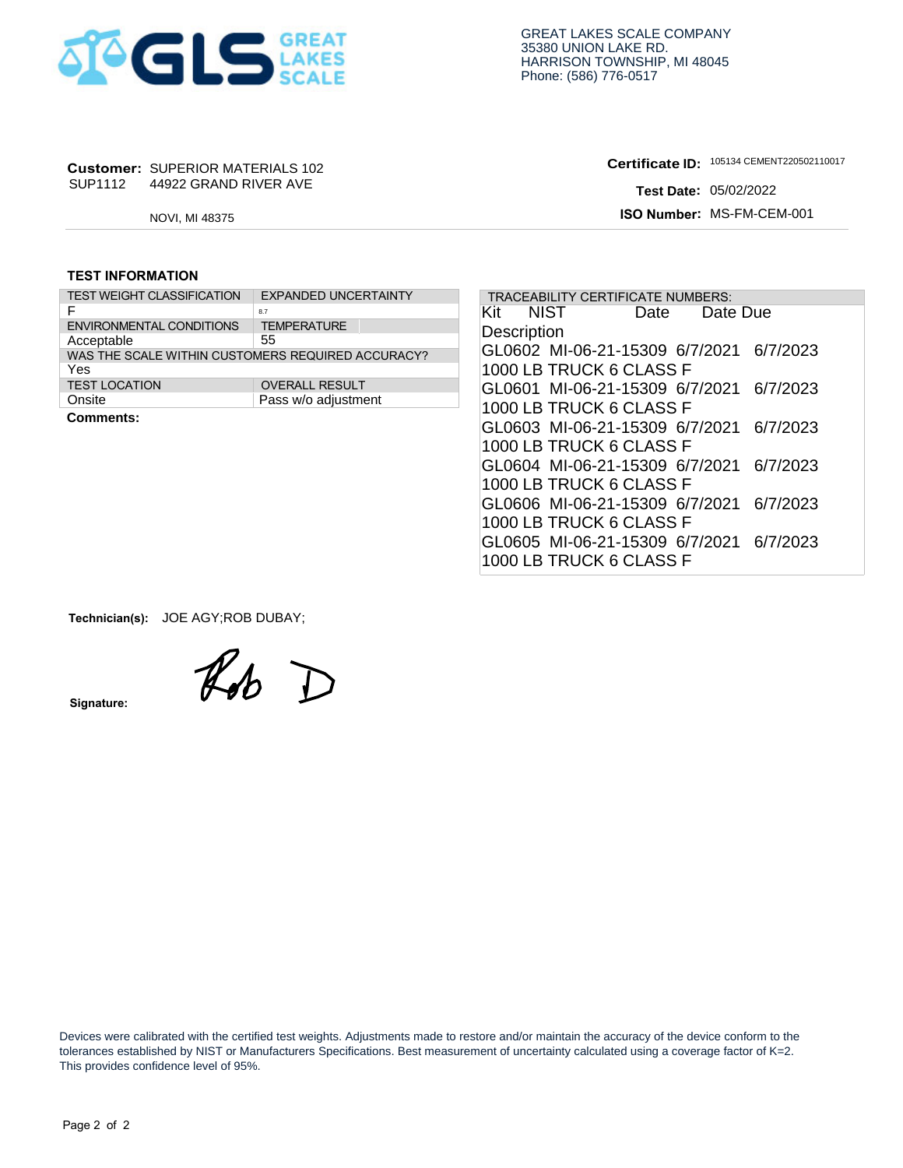

# **Customer: SUPERIOR MATERIALS 102<br>SUP1112 44922 GRAND RIVER AVE**

**Certificate ID:**

#### **TEST INFORMATION**

| SUP1112                 | <b>Customer: SUPERIOR MATERIALS 102</b><br>44922 GRAND RIVER AVE |                             |  |
|-------------------------|------------------------------------------------------------------|-----------------------------|--|
|                         | <b>NOVI. MI 48375</b>                                            |                             |  |
|                         |                                                                  |                             |  |
| <b>TEST INFORMATION</b> |                                                                  |                             |  |
|                         | <b>TEST WEIGHT CLASSIFICATION</b>                                | <b>EXPANDED UNCERTAINTY</b> |  |
| F                       |                                                                  | 8.7                         |  |
|                         | ENVIRONMENTAL CONDITIONS                                         | <b>TEMPERATURE</b>          |  |
| Acceptable              |                                                                  | 55                          |  |
|                         | WAS THE SCALE WITHIN CUSTOMERS REQUIRED ACCURACY?                |                             |  |
| Yes                     |                                                                  |                             |  |
| <b>TEST LOCATION</b>    |                                                                  | <b>OVERALL RESULT</b>       |  |
| Onsite                  |                                                                  | Pass w/o adjustment         |  |
| Commante:               |                                                                  |                             |  |

|                         | <b>Customer: SUPERIOR MATERIALS 102</b> |                                                         |     |             |                                   |                                | Certificate ID: 105134 CEMENT220502110017 |
|-------------------------|-----------------------------------------|---------------------------------------------------------|-----|-------------|-----------------------------------|--------------------------------|-------------------------------------------|
|                         | SUP1112 44922 GRAND RIVER AVE           |                                                         |     |             |                                   | <b>Test Date: 05/02/2022</b>   |                                           |
|                         | NOVI, MI 48375                          |                                                         |     |             |                                   |                                | ISO Number: MS-FM-CEM-001                 |
|                         |                                         |                                                         |     |             |                                   |                                |                                           |
| <b>TEST INFORMATION</b> |                                         |                                                         |     |             |                                   |                                |                                           |
|                         | <b>TEST WEIGHT CLASSIFICATION</b>       | <b>EXPANDED UNCERTAINTY</b>                             |     |             | TRACEABILITY CERTIFICATE NUMBERS: |                                |                                           |
| F                       |                                         | 8.7                                                     | Kit | <b>NIST</b> | Date                              | Date Due                       |                                           |
|                         | <b>ENVIRONMENTAL CONDITIONS</b>         | <b>TEMPERATURE</b>                                      |     | Description |                                   |                                |                                           |
| Acceptable              |                                         | 55<br>WAS THE SCALE WITHIN CUSTOMERS REQUIRED ACCURACY? |     |             | GL0602 MI-06-21-15309 6/7/2021    |                                | 6/7/2023                                  |
| Yes                     |                                         |                                                         |     |             | 1000 LB TRUCK 6 CLASS F           |                                |                                           |
| <b>TEST LOCATION</b>    |                                         | <b>OVERALL RESULT</b>                                   |     |             | GL0601 MI-06-21-15309 6/7/2021    |                                | 6/7/2023                                  |
| Onsite                  |                                         | Pass w/o adjustment                                     |     |             | 1000 LB TRUCK 6 CLASS F           |                                |                                           |
| <b>Comments:</b>        |                                         |                                                         |     |             |                                   |                                |                                           |
|                         |                                         |                                                         |     |             |                                   | GL0603 MI-06-21-15309 6/7/2021 | 6/7/2023                                  |
|                         |                                         |                                                         |     |             | 1000 LB TRUCK 6 CLASS F           |                                |                                           |
|                         |                                         |                                                         |     |             | GL0604 MI-06-21-15309 6/7/2021    |                                | 6/7/2023                                  |
|                         |                                         |                                                         |     |             | 1000 LB TRUCK 6 CLASS F           |                                |                                           |
|                         |                                         |                                                         |     |             |                                   | GL0606 MI-06-21-15309 6/7/2021 | 6/7/2023                                  |
|                         |                                         |                                                         |     |             | 1000 LB TRUCK 6 CLASS F           |                                |                                           |
|                         |                                         |                                                         |     |             |                                   |                                | GL0605 MI-06-21-15309 6/7/2021 6/7/2023   |
|                         |                                         |                                                         |     |             | 1000 LB TRUCK 6 CLASS F           |                                |                                           |
|                         |                                         |                                                         |     |             |                                   |                                |                                           |

**Technician(s):** JOE AGY;ROB DUBAY;

Rob D

**Signature:** 

 Devices were calibrated with the certified test weights. Adjustments made to restore and/or maintain the accuracy of the device conform to the tolerances established by NIST or Manufacturers Specifications. Best measurement of uncertainty calculated using a coverage factor of K=2. This provides confidence level of 95%.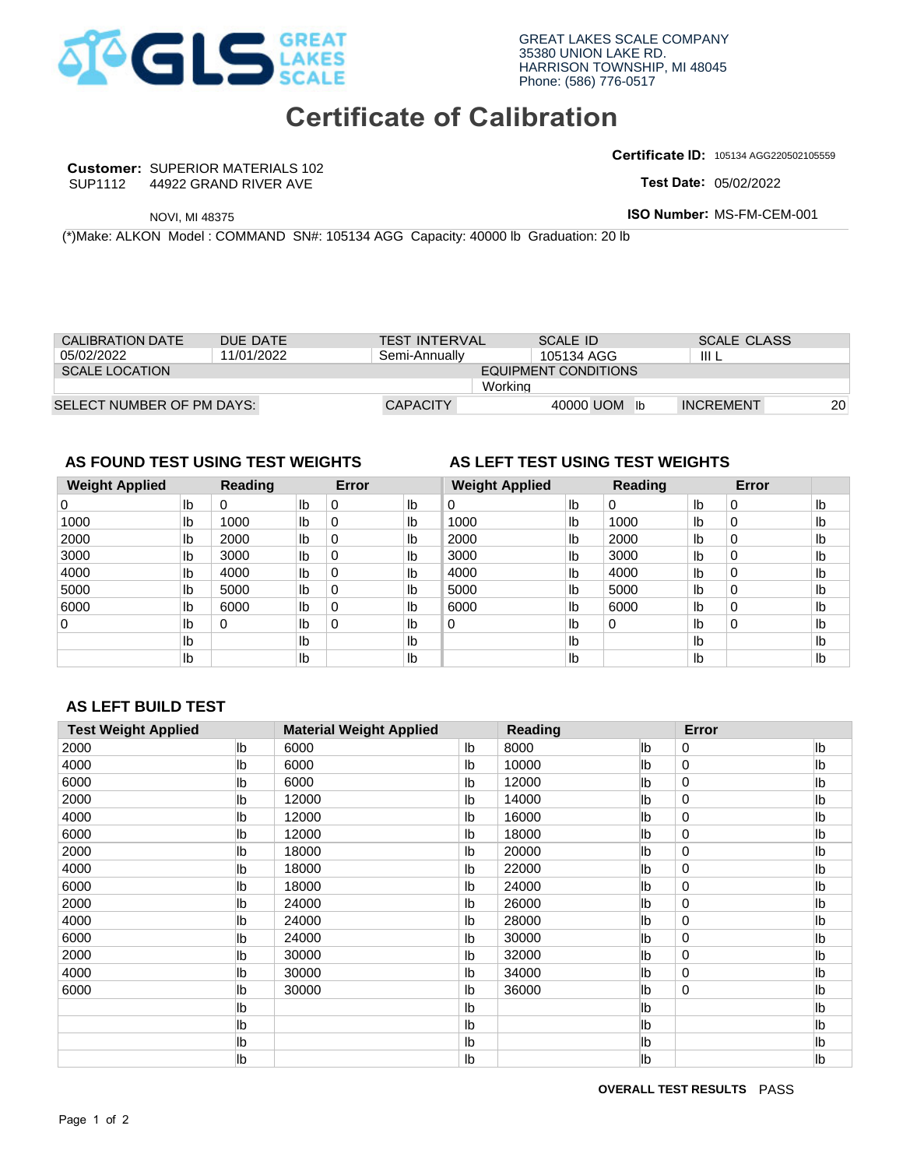

## **Certificate of Calibration**

**Certificate ID:** 105134 AGG220502105559

**Customer: SUPERIOR MATERIALS 102<br>SUP1112 44922 GRAND RIVER AVE** 

| <b>CALIBRATION DATE</b>   | DUE DATE   | <b>TEST INTERVAL</b> | SCALE ID             | <b>SCALE CLASS</b> |    |
|---------------------------|------------|----------------------|----------------------|--------------------|----|
|                           |            |                      |                      |                    |    |
| 05/02/2022                | 11/01/2022 | Semi-Annually        | 105134 AGG           | - III L            |    |
| <b>SCALE LOCATION</b>     |            |                      | EQUIPMENT CONDITIONS |                    |    |
|                           |            | Working              |                      |                    |    |
| SELECT NUMBER OF PM DAYS: |            | <b>CAPACITY</b>      | 40000 UOM<br>lb      | <b>INCREMENT</b>   | 20 |

#### **AS FOUND TEST USING TEST WEIGHTS**

#### AS LEFT TEST USING TEST WEIGHTS

| <b>Customer: SUPERIOR MATERIALS 102</b><br><b>SUP1112</b>                           |                       | 44922 GRAND RIVER AVE |               |             |                                |             |                                        |                 |                                 |                | <b>Test Date: 05/02/2022</b> |                |
|-------------------------------------------------------------------------------------|-----------------------|-----------------------|---------------|-------------|--------------------------------|-------------|----------------------------------------|-----------------|---------------------------------|----------------|------------------------------|----------------|
|                                                                                     | <b>NOVI, MI 48375</b> |                       |               |             |                                |             |                                        |                 |                                 |                | ISO Number: MS-FM-CEM-001    |                |
| (*)Make: ALKON Model : COMMAND SN#: 105134 AGG Capacity: 40000 lb Graduation: 20 lb |                       |                       |               |             |                                |             |                                        |                 |                                 |                |                              |                |
|                                                                                     |                       |                       |               |             |                                |             |                                        |                 |                                 |                |                              |                |
| <b>CALIBRATION DATE</b>                                                             |                       | <b>DUE DATE</b>       |               |             | <b>TEST INTERVAL</b>           |             |                                        | <b>SCALE ID</b> |                                 |                | <b>SCALE CLASS</b>           |                |
| 05/02/2022                                                                          |                       | 11/01/2022            |               |             | Semi-Annually                  |             |                                        | 105134 AGG      |                                 | III L          |                              |                |
| <b>SCALE LOCATION</b>                                                               |                       |                       |               |             |                                |             | <b>EQUIPMENT CONDITIONS</b><br>Working |                 |                                 |                |                              |                |
| SELECT NUMBER OF PM DAYS:                                                           |                       |                       |               |             | <b>CAPACITY</b>                |             |                                        |                 | 40000 UOM lb                    |                | <b>INCREMENT</b>             | 20             |
|                                                                                     |                       |                       |               |             |                                |             |                                        |                 |                                 |                |                              |                |
| AS FOUND TEST USING TEST WEIGHTS                                                    |                       |                       |               |             |                                |             |                                        |                 | AS LEFT TEST USING TEST WEIGHTS |                |                              |                |
| <b>Weight Applied</b>                                                               |                       | Reading               |               | Error       |                                |             | <b>Weight Applied</b>                  |                 | <b>Reading</b>                  |                | Error                        |                |
| 0                                                                                   | $\mathsf{lb}$         | $\mathbf 0$           | $\mathsf{lb}$ | $\mathbf 0$ | Ib                             | $\mathbf 0$ |                                        | Ib              | 0                               | Ib             | $\pmb{0}$                    | Ib             |
| 1000                                                                                | Ib                    | 1000                  | $\mathsf{lb}$ | $\mathbf 0$ | Ib                             | 1000        |                                        | Ib              | 1000                            | Ib             | 0                            | Ib             |
| 2000                                                                                | lb                    | 2000                  | Ib            | $\mathbf 0$ | lb                             | 2000        |                                        | lb              | 2000                            | lb             | $\mathsf 0$                  | I <sub>b</sub> |
| 3000                                                                                | lb                    | 3000                  | lb            | 0           | lb                             | 3000        |                                        | lb              | 3000                            | lb             | $\Omega$                     | lb             |
| 4000                                                                                | lb                    | 4000                  | Ib            | 0           | lb                             | 4000        |                                        | lb              | 4000                            | lb             | $\mathsf 0$                  | Ib             |
| 5000                                                                                | Ib                    | 5000                  | $\mathsf{lb}$ | $\mathbf 0$ | Ib                             | 5000        |                                        | lb              | 5000                            | lb             | 0                            | Ib             |
| 6000                                                                                | lb                    | 6000                  | Ib            | $\mathbf 0$ | lb                             | 6000        |                                        | lb              | 6000                            | lb             | 0                            | Ib             |
| 0                                                                                   | Ib                    | 0                     | Ib            | $\mathbf 0$ | lb                             | $\mathbf 0$ |                                        | lb              | 0                               | lb             | 0                            | Ib             |
|                                                                                     | $\mathsf{lb}$         |                       | $\mathsf{lb}$ |             | lb                             |             |                                        | Ib              |                                 | I <sub>b</sub> |                              | I <sub>b</sub> |
|                                                                                     | Ib                    |                       | $\mathsf{lb}$ |             | lb                             |             |                                        | $\overline{1}$  |                                 | lb             |                              | $\overline{1}$ |
| <b>AS LEFT BUILD TEST</b>                                                           |                       |                       |               |             |                                |             |                                        |                 |                                 |                |                              |                |
| <b>Test Weight Applied</b>                                                          |                       |                       |               |             | <b>Material Weight Applied</b> |             | <b>Reading</b>                         |                 |                                 | Error          |                              |                |
| 2000                                                                                |                       | lb                    | 6000          |             |                                | Ib          | 8000                                   |                 | lb                              | 0              |                              | lb             |
| 4000                                                                                |                       | lb                    | 6000          |             |                                | Ib          | 10000                                  |                 | lb                              | $\mathbf 0$    |                              | lb             |
| 6000                                                                                |                       | lb                    | 6000          |             |                                | Ib          | 12000                                  |                 | lb                              | $\mathbf 0$    |                              | Ib             |
| 2000                                                                                |                       | lb                    | 12000         |             |                                | Ib          | 14000                                  |                 | lb                              | $\mathbf 0$    |                              | Ib             |
| 4000                                                                                |                       | lb                    | 12000         |             |                                | Ib          | 16000                                  |                 | lb                              | $\mathbf 0$    |                              | lb             |
| 6000                                                                                |                       | lb                    | 12000         |             |                                | Ib          | 18000                                  |                 | lb                              | $\mathbf 0$    |                              | Ib             |
| 2000                                                                                |                       | lb                    | 18000         |             |                                | Ib          | 20000                                  |                 | lb                              | $\mathbf 0$    |                              | lb             |
| 4000                                                                                |                       | lb                    | 18000         |             |                                | lb          | 22000                                  |                 | lb                              | $\overline{0}$ |                              | lb             |
| 6000                                                                                |                       | lb                    | 18000         |             |                                | Ib          | 24000                                  |                 | lb                              | $\mathbf 0$    |                              | lb             |

|                                                                                                              |                                  |                | 44922 GRAND RIVER AVE |             |                                                                                     |                |                                        |                 |                |             | <b>Test Date: 05/02/2022</b> |                |
|--------------------------------------------------------------------------------------------------------------|----------------------------------|----------------|-----------------------|-------------|-------------------------------------------------------------------------------------|----------------|----------------------------------------|-----------------|----------------|-------------|------------------------------|----------------|
|                                                                                                              | <b>NOVI, MI 48375</b>            |                |                       |             |                                                                                     |                |                                        |                 |                |             | ISO Number: MS-FM-CEM-001    |                |
|                                                                                                              |                                  |                |                       |             | (*)Make: ALKON Model : COMMAND SN#: 105134 AGG Capacity: 40000 lb Graduation: 20 lb |                |                                        |                 |                |             |                              |                |
|                                                                                                              |                                  |                |                       |             |                                                                                     |                |                                        |                 |                |             |                              |                |
|                                                                                                              |                                  |                |                       |             |                                                                                     |                |                                        |                 |                |             |                              |                |
|                                                                                                              |                                  |                |                       |             |                                                                                     |                |                                        |                 |                |             |                              |                |
| <b>CALIBRATION DATE</b>                                                                                      |                                  | DUE DATE       |                       |             | <b>TEST INTERVAL</b>                                                                |                |                                        | <b>SCALE ID</b> |                |             | <b>SCALE CLASS</b>           |                |
| 05/02/2022                                                                                                   |                                  | 11/01/2022     |                       |             | Semi-Annually                                                                       |                |                                        | 105134 AGG      |                | III L       |                              |                |
| <b>SCALE LOCATION</b>                                                                                        |                                  |                |                       |             |                                                                                     |                | <b>EQUIPMENT CONDITIONS</b><br>Working |                 |                |             |                              |                |
|                                                                                                              | SELECT NUMBER OF PM DAYS:        |                |                       |             | <b>CAPACITY</b>                                                                     |                |                                        |                 | 40000 UOM lb   |             | <b>INCREMENT</b>             | 20             |
|                                                                                                              |                                  |                |                       |             |                                                                                     |                |                                        |                 |                |             |                              |                |
|                                                                                                              |                                  |                |                       |             |                                                                                     |                |                                        |                 |                |             |                              |                |
|                                                                                                              | AS FOUND TEST USING TEST WEIGHTS |                |                       |             |                                                                                     |                | AS LEFT TEST USING TEST WEIGHTS        |                 |                |             |                              |                |
| <b>Weight Applied</b>                                                                                        |                                  | <b>Reading</b> |                       | Error       |                                                                                     |                | <b>Weight Applied</b>                  |                 | <b>Reading</b> |             | Error                        |                |
| 0                                                                                                            | $\mathsf{lb}$                    | 0              | lb                    | $\pmb{0}$   | Ib                                                                                  | $\mathbf 0$    |                                        | I <sub>b</sub>  | 0              | lb          | 0                            | I <sub>b</sub> |
| 1000                                                                                                         | $\mathsf{lb}$                    | 1000           | lb                    | $\pmb{0}$   | Ib                                                                                  | 1000           |                                        | I <sub>b</sub>  | 1000           | lb          | 0                            | Ib             |
| 2000                                                                                                         | lb                               | 2000           | lb                    | $\pmb{0}$   | lb                                                                                  | 2000           |                                        | lb              | 2000           | lb          | 0                            | I <sub>b</sub> |
| 3000                                                                                                         | lb                               | 3000           | lb                    | $\pmb{0}$   | lb                                                                                  | 3000           |                                        | lb              | 3000           | lb          | 0                            | I <sub>b</sub> |
| 4000                                                                                                         | lb                               | 4000           | lb                    | $\pmb{0}$   | lb                                                                                  | 4000           |                                        | lb              | 4000           | lb          | 0                            | I <sub>b</sub> |
| 5000                                                                                                         | Ib                               | 5000           | lb                    | 0           | lb                                                                                  | 5000           |                                        | lb              | 5000           | lb          | 0                            | Ib             |
| 6000                                                                                                         | lb                               | 6000           | Ib                    | $\pmb{0}$   | Ib                                                                                  | 6000           |                                        | lb              | 6000           | lb          | 0                            | Ib             |
|                                                                                                              |                                  |                |                       |             |                                                                                     |                |                                        |                 |                |             |                              |                |
|                                                                                                              | lb                               | 0              | Ib                    | $\mathbf 0$ | Ib                                                                                  | 0              |                                        | lb              | 0              | lb          | 0                            | Ib             |
|                                                                                                              | Ib                               |                | Ib                    |             | lb                                                                                  |                |                                        | lb              |                | lb          |                              | Ib             |
| 0                                                                                                            | Ib                               |                | Ib                    |             | Ib                                                                                  |                |                                        | lb              |                | lb          |                              | Ib             |
|                                                                                                              |                                  |                |                       |             |                                                                                     |                |                                        |                 |                |             |                              |                |
|                                                                                                              | <b>AS LEFT BUILD TEST</b>        |                |                       |             |                                                                                     |                |                                        |                 |                |             |                              |                |
|                                                                                                              | <b>Test Weight Applied</b>       |                |                       |             | <b>Material Weight Applied</b>                                                      |                | <b>Reading</b>                         |                 |                | Error       |                              |                |
| 2000                                                                                                         |                                  | lb             | 6000                  |             |                                                                                     | Ib             | 8000                                   |                 | lb             | $\mathbf 0$ |                              | lb             |
|                                                                                                              |                                  | lb             | 6000                  |             |                                                                                     | Ib             | 10000                                  |                 | lb             | 0           |                              | lb             |
|                                                                                                              |                                  | lb             | 6000                  |             |                                                                                     | Ib             | 12000                                  |                 | lb             | $\mathbf 0$ |                              | Ib             |
|                                                                                                              |                                  | lb             | 12000                 |             |                                                                                     | Ib             | 14000                                  |                 | lb             | 0           |                              | lb             |
|                                                                                                              |                                  | lb             | 12000                 |             |                                                                                     | Ib             | 16000                                  |                 | lb             | 0           |                              | lb             |
|                                                                                                              |                                  | lb             | 12000                 |             |                                                                                     | Ib             | 18000                                  |                 | lb             | 0           |                              | lb             |
|                                                                                                              |                                  | Ib             | 18000                 |             |                                                                                     | Ib             | 20000                                  |                 | Ib             | 0           |                              | lb             |
|                                                                                                              |                                  | lb             | 18000                 |             |                                                                                     | Ib             | 22000                                  |                 | lb             | 0           |                              | Ib             |
|                                                                                                              |                                  | lb             | 18000                 |             |                                                                                     | Ib             | 24000                                  |                 | lb             | 0           |                              | Ib             |
|                                                                                                              |                                  | lb             | 24000                 |             |                                                                                     | Ib             | 26000                                  |                 | lb             | $\mathbf 0$ |                              | Ib             |
|                                                                                                              |                                  | lb             | 24000                 |             |                                                                                     | Ib             | 28000                                  |                 | lb             | $\mathbf 0$ |                              | Ib             |
|                                                                                                              |                                  | lb             | 24000                 |             |                                                                                     | Ib             | 30000                                  |                 | lb             | $\mathbf 0$ |                              | lb             |
|                                                                                                              |                                  | lb             | 30000                 |             |                                                                                     | lb             | 32000                                  |                 | lb             | $\mathbf 0$ |                              | lb             |
|                                                                                                              |                                  | Ib             | 30000                 |             |                                                                                     | I <sub>b</sub> | 34000                                  |                 | lb             | $\mathbf 0$ |                              | lb             |
|                                                                                                              |                                  | lb             | 30000                 |             |                                                                                     | lb             | 36000                                  |                 | lb             | $\mathbf 0$ |                              | lb             |
|                                                                                                              |                                  | lb             |                       |             |                                                                                     | lb             |                                        |                 | lb             |             |                              | lb             |
| 4000<br>6000<br>2000<br>4000<br>6000<br>2000<br>4000<br>6000<br>2000<br>4000<br>6000<br>2000<br>4000<br>6000 |                                  | lb             |                       |             |                                                                                     | lb             |                                        |                 | lb             |             |                              | lb             |
|                                                                                                              |                                  | lb             |                       |             |                                                                                     | lb             |                                        |                 | lb             |             |                              | lb<br>lb       |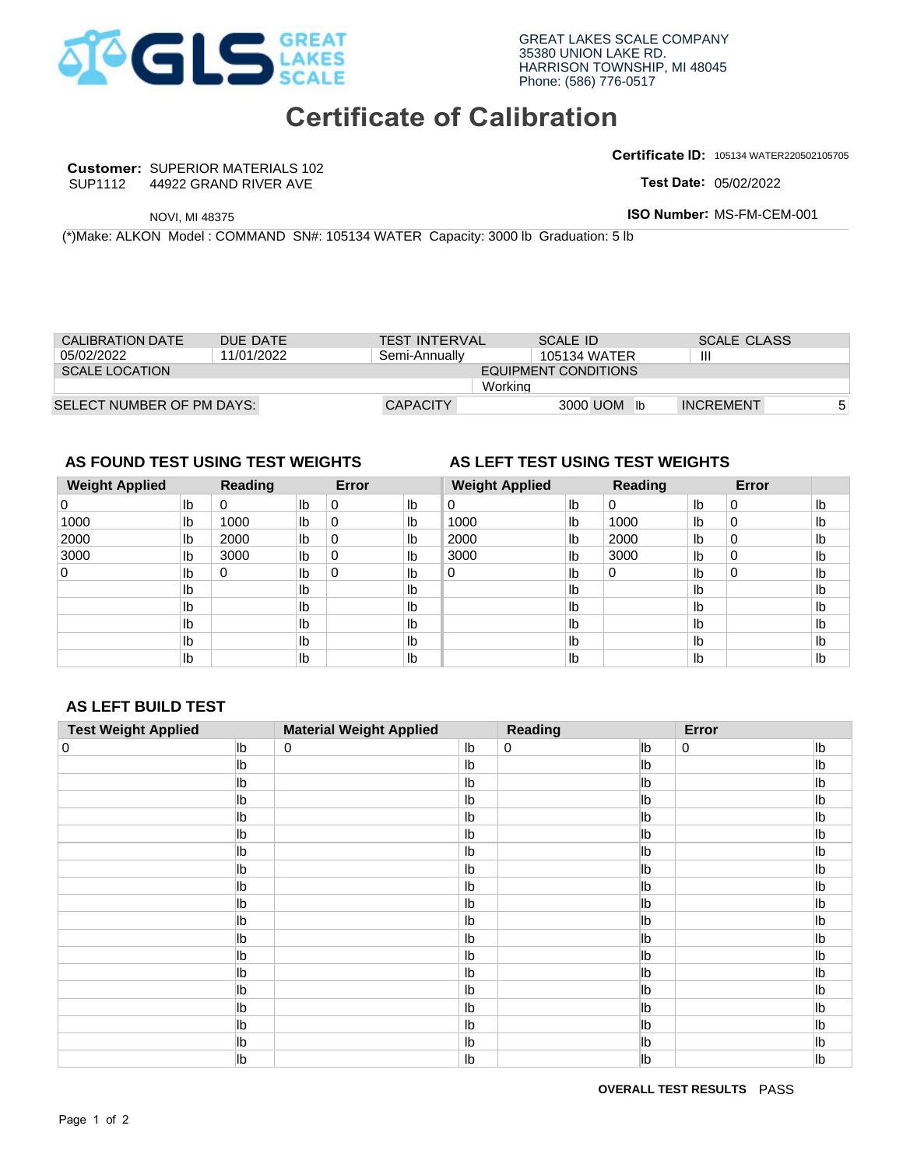

## **Certificate of Calibration**

**Certificate ID:** 105134 WATER220502105705

**Customer:** SUPERIOR MATERIALS 102 SUP1112 44922 GRAND RIVER AVE

**Test Date:** 

| <b>CALIBRATION DATE</b>          |    | DUE DATE       |    |       | <b>TEST INTERVAL</b> |                                 | <b>SCALE ID</b>             |             |    | <b>SCALE CLASS</b> |    |
|----------------------------------|----|----------------|----|-------|----------------------|---------------------------------|-----------------------------|-------------|----|--------------------|----|
| 05/02/2022                       |    | 11/01/2022     |    |       | Semi-Annually        |                                 | 105134 WATER                |             | Ш  |                    |    |
| <b>SCALE LOCATION</b>            |    |                |    |       |                      |                                 | <b>EQUIPMENT CONDITIONS</b> |             |    |                    |    |
|                                  |    |                |    |       |                      | Workina                         |                             |             |    |                    |    |
| SELECT NUMBER OF PM DAYS:        |    |                |    |       | <b>CAPACITY</b>      |                                 |                             | 3000 UOM lb |    | <b>INCREMENT</b>   | 5  |
|                                  |    |                |    |       |                      |                                 |                             |             |    |                    |    |
|                                  |    |                |    |       |                      |                                 |                             |             |    |                    |    |
|                                  |    |                |    |       |                      |                                 |                             |             |    |                    |    |
| AS FOUND TEST USING TEST WEIGHTS |    |                |    |       |                      | AS LEFT TEST USING TEST WEIGHTS |                             |             |    |                    |    |
| <b>Weight Applied</b>            |    | <b>Reading</b> |    | Error |                      | <b>Weight Applied</b>           |                             | Reading     |    | Error              |    |
| 0                                | lb | 0              | lb | 0     | lb                   | 0                               | Ib                          | $\Omega$    | Ib | $\Omega$           | Ib |

#### **AS FOUND TEST USING TEST WEIGHTS AS LEFT TEST USING TEST WEIGHTS**

| SELECT NUMBER OF PM DAYS:        |    |          |    |          | <b>CAPACITY</b> |                                 |    | 3000 UOM lb |    | <b>INCREMENT</b> | 5  |
|----------------------------------|----|----------|----|----------|-----------------|---------------------------------|----|-------------|----|------------------|----|
|                                  |    |          |    |          |                 |                                 |    |             |    |                  |    |
|                                  |    |          |    |          |                 |                                 |    |             |    |                  |    |
| AS FOUND TEST USING TEST WEIGHTS |    |          |    |          |                 | AS LEFT TEST USING TEST WEIGHTS |    |             |    |                  |    |
| <b>Weight Applied</b>            |    | Reading  |    | Error    |                 | <b>Weight Applied</b>           |    | Reading     |    | Error            |    |
| 0                                | Ib | $\Omega$ | lb | 0        | Ib              | 0                               | Ib | 0           | Ib | 0                | lb |
| 1000                             | lb | 1000     | lb | 0        | lb              | 1000                            | lb | 1000        | lb | 0                | lb |
| 2000                             | Ib | 2000     | lb | $\Omega$ | lb              | 2000                            | Ib | 2000        | Ib | 0                | lb |
| 3000                             | lb | 3000     | Ib | 0        | Ib              | 3000                            | Ib | 3000        | lb | 0                | Ib |
| 0                                | lb | $\Omega$ | lb | $\Omega$ | lb              | $\Omega$                        | Ib | 0           | Ib | 0                | lb |
|                                  | Ib |          | lb |          | Ib              |                                 | lb |             | lb |                  | lb |
|                                  | lb |          | Ib |          | lb              |                                 | Ib |             | lb |                  | lb |
|                                  | Ib |          | Ib |          | Ib              |                                 | Ib |             | Ib |                  | lb |
|                                  | Ib |          | lb |          | Ib              |                                 | Ib |             | Ib |                  | lb |
|                                  | Ib |          | Ib |          | Ib              |                                 | Ib |             | Ib |                  | lb |

|                                           |                                  | 44922 GRAND RIVER AVE         |                |             |                                                                                     |                      |                             |                 |                                 |                | Test Date: 05/02/2022     |                |
|-------------------------------------------|----------------------------------|-------------------------------|----------------|-------------|-------------------------------------------------------------------------------------|----------------------|-----------------------------|-----------------|---------------------------------|----------------|---------------------------|----------------|
|                                           | NOVI, MI 48375                   |                               |                |             |                                                                                     |                      |                             |                 |                                 |                | ISO Number: MS-FM-CEM-001 |                |
|                                           |                                  |                               |                |             | (*)Make: ALKON Model : COMMAND SN#: 105134 WATER Capacity: 3000 lb Graduation: 5 lb |                      |                             |                 |                                 |                |                           |                |
|                                           |                                  |                               |                |             |                                                                                     |                      |                             |                 |                                 |                |                           |                |
|                                           |                                  |                               |                |             |                                                                                     |                      |                             |                 |                                 |                |                           |                |
|                                           |                                  |                               |                |             |                                                                                     |                      |                             |                 |                                 |                |                           |                |
| <b>CALIBRATION DATE</b><br>05/02/2022     |                                  | <b>DUE DATE</b><br>11/01/2022 |                |             | <b>TEST INTERVAL</b><br>Semi-Annually                                               |                      |                             | <b>SCALE ID</b> | 105134 WATER                    | $\mathbf{III}$ | <b>SCALE CLASS</b>        |                |
| <b>SCALE LOCATION</b>                     |                                  |                               |                |             |                                                                                     |                      | <b>EQUIPMENT CONDITIONS</b> |                 |                                 |                |                           |                |
|                                           | SELECT NUMBER OF PM DAYS:        |                               |                |             | <b>CAPACITY</b>                                                                     |                      | Working                     |                 | 3000 UOM lb                     |                | <b>INCREMENT</b>          |                |
|                                           |                                  |                               |                |             |                                                                                     |                      |                             |                 |                                 |                |                           |                |
|                                           | AS FOUND TEST USING TEST WEIGHTS |                               |                |             |                                                                                     |                      |                             |                 | AS LEFT TEST USING TEST WEIGHTS |                |                           |                |
| <b>Weight Applied</b>                     |                                  | <b>Reading</b>                |                | Error       |                                                                                     |                      | <b>Weight Applied</b>       |                 | <b>Reading</b>                  |                | Error                     |                |
| 0                                         | Ib                               | $\pmb{0}$                     | $\mathsf{lb}$  | $\pmb{0}$   | I <sub>b</sub>                                                                      | $\pmb{0}$            |                             | Ib              | 0                               | lb             | 0                         | I <sub>b</sub> |
| 1000                                      | $\mathsf{lb}$                    | 1000                          | I <sub>b</sub> | $\pmb{0}$   | Ib                                                                                  | 1000                 |                             | Ib              | 1000                            | lb             | 0                         | $\mathsf{lb}$  |
| 2000                                      | lb                               | 2000                          | I <sub>b</sub> | $\mathbf 0$ | lb                                                                                  | 2000                 |                             | Ib              | 2000                            | lb             | $\mathsf 0$               | $\mathsf{lb}$  |
| 3000                                      | lb                               | 3000                          | I <sub>b</sub> | $\mathbf 0$ | Ib                                                                                  | 3000                 |                             | Ib              | 3000                            | lb             | $\mathsf 0$               | $\mathsf{lb}$  |
| $\mathsf 0$                               | lb                               | 0                             | lb             | $\mathbf 0$ | Ib                                                                                  | $\pmb{0}$            |                             | lb              | 0                               | lb             | 0                         | I <sub>b</sub> |
|                                           | lb                               |                               | lb             |             | Ib                                                                                  |                      |                             | lb              |                                 | lb             |                           | lb             |
|                                           | lb                               |                               | $\mathsf{lb}$  |             | Ib                                                                                  |                      |                             | Ib              |                                 | lb             |                           | I <sub>b</sub> |
|                                           |                                  |                               |                |             |                                                                                     |                      |                             |                 |                                 |                |                           |                |
|                                           | lb                               |                               | I <sub>b</sub> |             | Ib                                                                                  |                      |                             | Ib              |                                 | lb             |                           | lb             |
|                                           | $\mathsf{lb}$                    |                               | Ib             |             | Ib                                                                                  |                      |                             | Ib              |                                 | Ib             |                           | Ib             |
|                                           | Ib                               |                               | Ib             |             | Ib                                                                                  |                      |                             | Ib              |                                 | lb             |                           | $\mathsf{lb}$  |
|                                           |                                  |                               |                |             |                                                                                     |                      |                             |                 |                                 |                |                           |                |
|                                           | <b>AS LEFT BUILD TEST</b>        |                               |                |             |                                                                                     |                      |                             |                 |                                 |                |                           |                |
|                                           |                                  |                               |                |             | <b>Material Weight Applied</b>                                                      |                      | <b>Reading</b>              |                 |                                 | Error          |                           |                |
|                                           |                                  | lb                            | 0              |             |                                                                                     | Ib                   | 0                           |                 | lb                              | 0              |                           | lb             |
|                                           |                                  | lb                            |                |             |                                                                                     | I <sub>b</sub>       |                             |                 | lb                              |                |                           | Ib             |
|                                           |                                  | lb                            |                |             |                                                                                     | Ib                   |                             |                 | lb                              |                |                           | Ib             |
|                                           |                                  | Ib                            |                |             |                                                                                     | Ib                   |                             |                 | lb                              |                |                           | lb             |
|                                           |                                  | lb                            |                |             |                                                                                     | Ib                   |                             |                 | lb                              |                |                           | lb             |
|                                           |                                  | lb                            |                |             |                                                                                     | Ib                   |                             |                 | lb                              |                |                           | lb             |
|                                           |                                  | lb                            |                |             |                                                                                     | Ib                   |                             |                 | lb                              |                |                           | lb             |
|                                           |                                  | lb                            |                |             |                                                                                     | I <sub>b</sub>       |                             |                 | lb                              |                |                           | Ib             |
|                                           |                                  | lb                            |                |             |                                                                                     | Ib                   |                             |                 | lb                              |                |                           | Ib             |
|                                           |                                  | lb                            |                |             |                                                                                     | I <sub>b</sub>       |                             |                 | lb                              |                |                           | Ib             |
|                                           |                                  | lb                            |                |             |                                                                                     | I <sub>b</sub>       |                             |                 | lb                              |                |                           | Ib             |
|                                           |                                  | lb                            |                |             |                                                                                     | lb                   |                             |                 | lb                              |                |                           | Ib             |
|                                           |                                  | lb<br>lb                      |                |             |                                                                                     | I <sub>b</sub>       |                             |                 | lb<br>lb                        |                |                           | Ib             |
|                                           |                                  | lb                            |                |             |                                                                                     | I <sub>b</sub><br>Ib |                             |                 | lb                              |                |                           | Ib<br>Ib       |
|                                           |                                  | lb                            |                |             |                                                                                     | I <sub>b</sub>       |                             |                 | lb                              |                |                           | lb             |
|                                           |                                  | lb                            |                |             |                                                                                     | I <sub>b</sub>       |                             |                 | lb                              |                |                           | lb             |
| <b>Test Weight Applied</b><br>$\mathbf 0$ |                                  | lb                            |                |             |                                                                                     | Ib                   |                             |                 | lb                              |                |                           | lb             |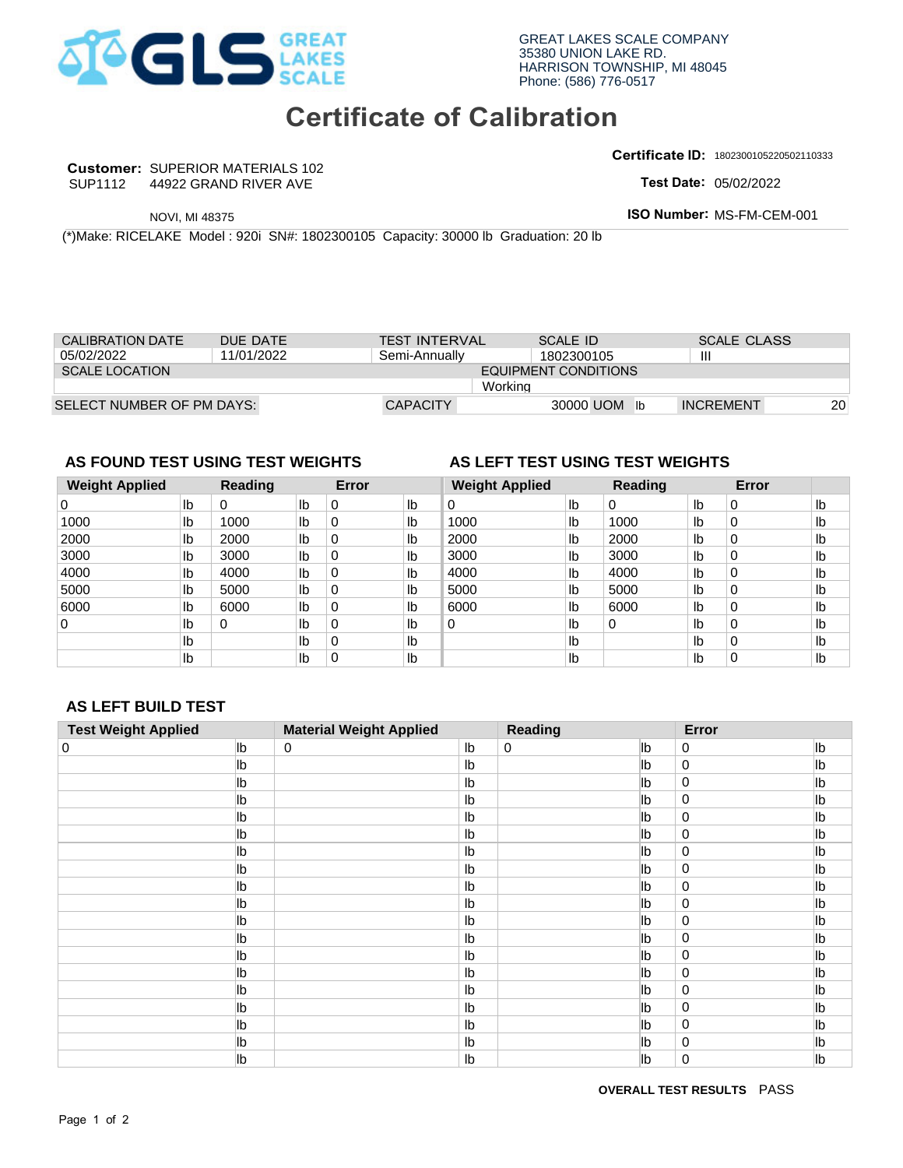

## **Certificate of Calibration**

**Certificate ID:** 1802300105220502110333

**Customer: SUPERIOR MATERIALS 102<br>SUP1112 44922 GRAND RIVER AVE** 

| CALIBRATION DATE<br>05/02/2022   |    | DUE DATE<br>11/01/2022 |               |       | <b>TEST INTERVAL</b><br>Semi-Annually |                       | <b>SCALE ID</b><br>1802300105   |                | Ш  | <b>SCALE CLASS</b> |    |
|----------------------------------|----|------------------------|---------------|-------|---------------------------------------|-----------------------|---------------------------------|----------------|----|--------------------|----|
| <b>SCALE LOCATION</b>            |    |                        |               |       |                                       |                       | <b>EQUIPMENT CONDITIONS</b>     |                |    |                    |    |
|                                  |    |                        |               |       |                                       | Working               |                                 |                |    |                    |    |
| SELECT NUMBER OF PM DAYS:        |    |                        |               |       | <b>CAPACITY</b>                       |                       |                                 | 30000 UOM lb   |    | <b>INCREMENT</b>   | 20 |
|                                  |    |                        |               |       |                                       |                       |                                 |                |    |                    |    |
| AS FOUND TEST USING TEST WEIGHTS |    |                        |               |       |                                       |                       | AS LEFT TEST USING TEST WEIGHTS |                |    |                    |    |
| <b>Weight Applied</b>            |    | <b>Reading</b>         |               | Error |                                       | <b>Weight Applied</b> |                                 | <b>Reading</b> |    | Error              |    |
|                                  | Ib | 0                      | $\mathsf{lb}$ | 0     | Ib                                    | 0                     | lb                              | $\Omega$       | Ib | 0                  | lb |
| 1000                             | lb | 1000                   | Ib            | 0     | lb                                    | 1000                  | lb                              | 1000           | Ib | 0                  | lb |

#### **AS FOUND TEST USING TEST WEIGHTS**

### **Weight Applied Reading Error Weight Applied Reading Error**  AS LEFT TEST USING TEST WEIGHTS

| <b>Customer: SUPERIOR MATERIALS 102</b><br><b>SUP1112</b>                            |                       | 44922 GRAND RIVER AVE |    |       |                      |                       |                                 |                |                | Test Date: 05/02/2022            |               |
|--------------------------------------------------------------------------------------|-----------------------|-----------------------|----|-------|----------------------|-----------------------|---------------------------------|----------------|----------------|----------------------------------|---------------|
|                                                                                      | <b>NOVI, MI 48375</b> |                       |    |       |                      |                       |                                 |                |                | <b>ISO Number: MS-FM-CEM-001</b> |               |
| (*) Make: RICELAKE Model : 920i SN#: 1802300105 Capacity: 30000 lb Graduation: 20 lb |                       |                       |    |       |                      |                       |                                 |                |                |                                  |               |
| <b>CALIBRATION DATE</b>                                                              |                       | <b>DUE DATE</b>       |    |       | <b>TEST INTERVAL</b> |                       | <b>SCALE ID</b>                 |                |                | <b>SCALE CLASS</b>               |               |
| 05/02/2022                                                                           |                       | 11/01/2022            |    |       | Semi-Annually        |                       | 1802300105                      |                | III            |                                  |               |
| <b>SCALE LOCATION</b>                                                                |                       |                       |    |       |                      | Working               | <b>EQUIPMENT CONDITIONS</b>     |                |                |                                  |               |
| <b>SELECT NUMBER OF PM DAYS:</b>                                                     |                       |                       |    |       | <b>CAPACITY</b>      |                       |                                 | 30000 UOM lb   |                | <b>INCREMENT</b>                 | 20            |
| AS FOUND TEST USING TEST WEIGHTS<br><b>Weight Applied</b>                            |                       | <b>Reading</b>        |    | Error |                      | <b>Weight Applied</b> | AS LEFT TEST USING TEST WEIGHTS | <b>Reading</b> |                | Error                            |               |
| 0                                                                                    | $\mathsf{lb}$         | $\Omega$              | Ib | 0     | I <sub>b</sub>       | 0                     | $\mathsf{lb}$                   | 0              | I <sub>b</sub> | 0                                | $\mathsf{lb}$ |
| 1000                                                                                 | Ib                    | 1000                  | Ib | 0     | lb                   | 1000                  | Ib                              | 1000           | lb             | 0                                | lb            |
| 2000                                                                                 | Ib                    | 2000                  | Ib | 0     | Ib                   | 2000                  | Ib                              | 2000           | lb             | 0                                | Ib            |
| 3000                                                                                 | lb                    | 3000                  | lb | 0     | lb                   | 3000                  | lb                              | 3000           | lb             | 0                                | Ib            |
| 4000                                                                                 | lb                    | 4000                  | Ib | 0     | lb                   | 4000                  | lb                              | 4000           | Ib             | 0                                | Ib            |
| 5000                                                                                 | lb                    | 5000                  | Ib | 0     | lb                   | 5000                  | Ib                              | 5000           | lb             | 0                                |               |
| 6000                                                                                 | lb                    | 6000                  | lb | 0     | lb                   |                       |                                 |                | lb             |                                  | Ib            |
| $\Omega$                                                                             |                       |                       |    |       |                      | 6000                  | lb                              | 6000           |                | 0                                | Ib            |
|                                                                                      | lb                    | $\Omega$              | Ib | 0     | lb                   | 0                     | Ib                              | 0              | lb             | 0                                | Ib            |
|                                                                                      | Ib                    |                       | Ib | 0     | Ib                   |                       | Ib                              |                | Ib             | 0                                | Ib            |

|                                                                                      |                     | <b>NOVI, MI 48375</b> |                      |                |                                |                |                                        |                 |                |             |                            |                      |
|--------------------------------------------------------------------------------------|---------------------|-----------------------|----------------------|----------------|--------------------------------|----------------|----------------------------------------|-----------------|----------------|-------------|----------------------------|----------------------|
| (*) Make: RICELAKE Model : 920i SN#: 1802300105 Capacity: 30000 lb Graduation: 20 lb |                     |                       |                      |                |                                |                |                                        |                 |                |             |                            |                      |
|                                                                                      |                     |                       |                      |                |                                |                |                                        |                 |                |             |                            |                      |
|                                                                                      |                     |                       |                      |                |                                |                |                                        |                 |                |             |                            |                      |
|                                                                                      |                     |                       |                      |                |                                |                |                                        |                 |                |             |                            |                      |
| <b>CALIBRATION DATE</b>                                                              |                     | DUE DATE              |                      |                | <b>TEST INTERVAL</b>           |                |                                        | <b>SCALE ID</b> |                |             | <b>SCALE CLASS</b>         |                      |
| 05/02/2022                                                                           |                     | 11/01/2022            |                      |                | Semi-Annually                  |                |                                        | 1802300105      |                | Ш           |                            |                      |
| <b>SCALE LOCATION</b>                                                                |                     |                       |                      |                |                                |                | <b>EQUIPMENT CONDITIONS</b><br>Working |                 |                |             |                            |                      |
| SELECT NUMBER OF PM DAYS:                                                            |                     |                       |                      |                | <b>CAPACITY</b>                |                |                                        |                 | 30000 UOM lb   |             | <b>INCREMENT</b>           | 20                   |
|                                                                                      |                     |                       |                      |                |                                |                |                                        |                 |                |             |                            |                      |
| AS FOUND TEST USING TEST WEIGHTS                                                     |                     |                       |                      |                |                                |                | AS LEFT TEST USING TEST WEIGHTS        |                 |                |             |                            |                      |
| <b>Weight Applied</b>                                                                |                     | <b>Reading</b>        |                      | Error          |                                |                | <b>Weight Applied</b>                  |                 | <b>Reading</b> |             | Error                      |                      |
| 0                                                                                    | Ib                  | $\pmb{0}$             | Ib                   | $\pmb{0}$      | I <sub>b</sub>                 | $\pmb{0}$      |                                        | I <sub>b</sub>  | 0              | lb          | $\pmb{0}$                  | I <sub>b</sub>       |
| 1000                                                                                 | $\mathsf{lb}$       | 1000                  | Ib                   | $\mathbf 0$    | I <sub>b</sub>                 | 1000           |                                        | I <sub>b</sub>  | 1000           | lb          | $\mathbf 0$                | Ib                   |
| 2000                                                                                 | lb                  | 2000                  | lb                   | $\mathbf 0$    | lb                             | 2000           |                                        | Ib              | 2000           | Ib          | $\pmb{0}$                  | I <sub>b</sub>       |
| 3000                                                                                 | lb                  | 3000                  | Ib                   | $\mathbf 0$    | I <sub>b</sub>                 | 3000           |                                        | lb              | 3000           | lb          | $\pmb{0}$                  | I <sub>b</sub>       |
| 4000                                                                                 | lb                  | 4000                  | I <sub>b</sub>       | $\mathbf 0$    | lb                             | 4000           |                                        | lb              | 4000           | lb          | $\pmb{0}$                  | I <sub>b</sub>       |
| 5000                                                                                 | lb                  | 5000                  | lb                   | $\pmb{0}$      | I <sub>b</sub>                 | 5000           |                                        | lb              | 5000           | lb          | $\pmb{0}$                  | I <sub>b</sub>       |
| 6000                                                                                 | lb                  | 6000                  | lb                   | $\pmb{0}$      | lb                             | 6000           |                                        | lb              | 6000           | Ib          | $\pmb{0}$                  | I <sub>b</sub>       |
|                                                                                      |                     | 0                     | lb                   | 0              | lb                             | 0              |                                        | lb              | 0              | Ib          | 0                          | I <sub>b</sub>       |
|                                                                                      |                     |                       |                      |                |                                |                |                                        |                 |                |             |                            |                      |
|                                                                                      | lb                  |                       |                      |                |                                |                |                                        |                 |                |             |                            |                      |
| 0                                                                                    | $\mathsf{lb}$<br>Ib |                       | I <sub>b</sub><br>Ib | $\pmb{0}$<br>0 | lb<br>I <sub>b</sub>           |                |                                        | Ib              |                | Ib          | $\mathbf 0$<br>$\mathbf 0$ | I <sub>b</sub><br>Ib |
|                                                                                      |                     |                       |                      |                |                                |                |                                        | Ib              |                | Ib          |                            |                      |
|                                                                                      |                     |                       |                      |                |                                |                |                                        |                 |                |             |                            |                      |
| <b>AS LEFT BUILD TEST</b>                                                            |                     |                       |                      |                |                                |                |                                        |                 |                |             |                            |                      |
| <b>Test Weight Applied</b>                                                           |                     |                       |                      |                | <b>Material Weight Applied</b> |                | Reading                                |                 |                | Error       |                            |                      |
|                                                                                      |                     | lb                    | 0                    |                |                                | Ib             | $\mathbf 0$                            |                 | lb             | 0           |                            | lb                   |
|                                                                                      |                     | lb                    |                      |                |                                | Ib             |                                        |                 | lb             | $\mathbf 0$ |                            | lb                   |
|                                                                                      |                     | lb                    |                      |                |                                | Ib             |                                        |                 | lb             | $\mathbf 0$ |                            | lb                   |
|                                                                                      |                     | lb                    |                      |                |                                | Ib             |                                        |                 | lb<br>lb       | 0<br>0      |                            | lb                   |
|                                                                                      |                     | lb                    |                      |                |                                | Ib             |                                        |                 | lb             | 0           |                            | lb                   |
|                                                                                      |                     | lb                    |                      |                |                                | Ib             |                                        |                 |                | 0           |                            | lb                   |
|                                                                                      |                     | lb<br>lb              |                      |                |                                | Ib<br>Ib       |                                        |                 | lb<br>lb       | 0           |                            | lb<br>lb             |
|                                                                                      |                     | lb                    |                      |                |                                | Ib             |                                        |                 | lb             | $\mathbf 0$ |                            | lb                   |
|                                                                                      |                     | lb                    |                      |                |                                | I <sub>b</sub> |                                        |                 | lb             | 0           |                            | lb                   |
|                                                                                      |                     | lb                    |                      |                |                                | Ib             |                                        |                 | lb             | 0           |                            | lb                   |
|                                                                                      |                     | lb                    |                      |                |                                | I <sub>b</sub> |                                        |                 | lb             | 0           |                            | lb                   |
|                                                                                      |                     | lb                    |                      |                |                                | I <sub>b</sub> |                                        |                 | lb             | $\mathbf 0$ |                            | lb                   |
|                                                                                      |                     | lb                    |                      |                |                                | Ib             |                                        |                 | lb             | 0           |                            | lb                   |
|                                                                                      |                     | lb                    |                      |                |                                | Ib             |                                        |                 | lb             | 0           |                            | lb                   |
|                                                                                      |                     | lb                    |                      |                |                                | I <sub>b</sub> |                                        |                 | lb             | 0           |                            | lb                   |
|                                                                                      |                     | lb                    |                      |                |                                | I <sub>b</sub> |                                        |                 | lb             | 0           |                            | lb                   |
| $\mathbf 0$                                                                          |                     | lb                    |                      |                |                                | lb             |                                        |                 | lb             | 0           |                            | lb                   |